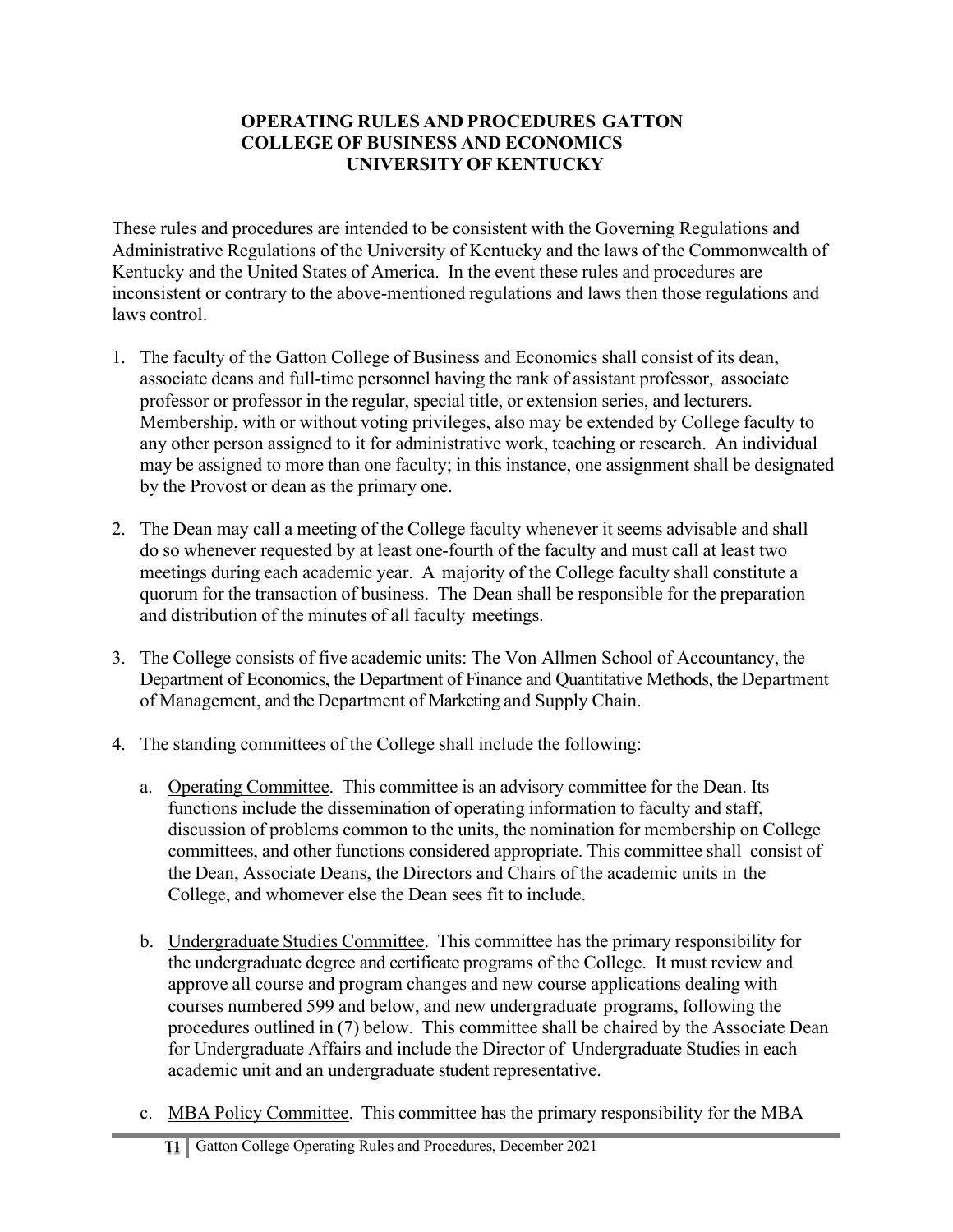### **OPERATING RULES AND PROCEDURES GATTON COLLEGE OF BUSINESS AND ECONOMICS UNIVERSITY OF KENTUCKY**

These rules and procedures are intended to be consistent with the Governing Regulations and Administrative Regulations of the University of Kentucky and the laws of the Commonwealth of Kentucky and the United States of America. In the event these rules and procedures are inconsistent or contrary to the above-mentioned regulations and laws then those regulations and laws control.

- 1. The faculty of the Gatton College of Business and Economics shall consist of its dean, associate deans and full-time personnel having the rank of assistant professor, associate professor or professor in the regular, special title, or extension series, and lecturers. Membership, with or without voting privileges, also may be extended by College faculty to any other person assigned to it for administrative work, teaching or research. An individual may be assigned to more than one faculty; in this instance, one assignment shall be designated by the Provost or dean as the primary one.
- 2. The Dean may call a meeting of the College faculty whenever it seems advisable and shall do so whenever requested by at least one-fourth of the faculty and must call at least two meetings during each academic year. A majority of the College faculty shall constitute a quorum for the transaction of business. The Dean shall be responsible for the preparation and distribution of the minutes of all faculty meetings.
- 3. The College consists of five academic units: The Von Allmen School of Accountancy, the Department of Economics, the Department of Finance and Quantitative Methods, the Department of Management, and the Department of Marketing and Supply Chain.
- 4. The standing committees of the College shall include the following:
	- a. Operating Committee. This committee is an advisory committee for the Dean. Its functions include the dissemination of operating information to faculty and staff, discussion of problems common to the units, the nomination for membership on College committees, and other functions considered appropriate. This committee shall consist of the Dean, Associate Deans, the Directors and Chairs of the academic units in the College, and whomever else the Dean sees fit to include.
	- b. Undergraduate Studies Committee. This committee has the primary responsibility for the undergraduate degree and certificate programs of the College. It must review and approve all course and program changes and new course applications dealing with courses numbered 599 and below, and new undergraduate programs, following the procedures outlined in (7) below. This committee shall be chaired by the Associate Dean for Undergraduate Affairs and include the Director of Undergraduate Studies in each academic unit and an undergraduate student representative.
	- c. MBA Policy Committee. This committee has the primary responsibility for the MBA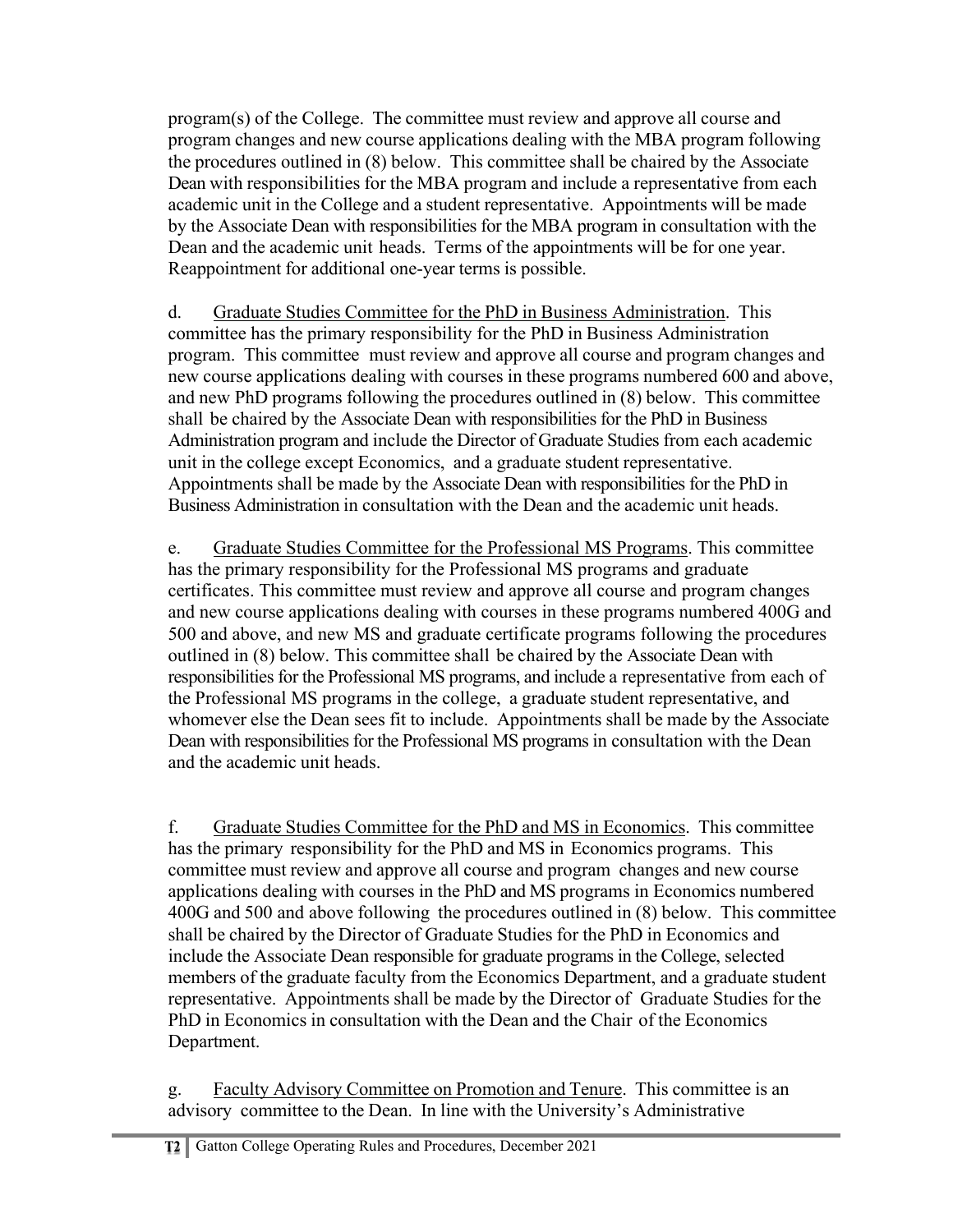program(s) of the College. The committee must review and approve all course and program changes and new course applications dealing with the MBA program following the procedures outlined in (8) below. This committee shall be chaired by the Associate Dean with responsibilities for the MBA program and include a representative from each academic unit in the College and a student representative. Appointments will be made by the Associate Dean with responsibilities for the MBA program in consultation with the Dean and the academic unit heads. Terms of the appointments will be for one year. Reappointment for additional one-year terms is possible.

d. Graduate Studies Committee for the PhD in Business Administration. This committee has the primary responsibility for the PhD in Business Administration program. This committee must review and approve all course and program changes and new course applications dealing with courses in these programs numbered 600 and above, and new PhD programs following the procedures outlined in (8) below. This committee shall be chaired by the Associate Dean with responsibilities for the PhD in Business Administration program and include the Director of Graduate Studies from each academic unit in the college except Economics, and a graduate student representative. Appointments shall be made by the Associate Dean with responsibilities for the PhD in Business Administration in consultation with the Dean and the academic unit heads.

e. Graduate Studies Committee for the Professional MS Programs. This committee has the primary responsibility for the Professional MS programs and graduate certificates. This committee must review and approve all course and program changes and new course applications dealing with courses in these programs numbered 400G and 500 and above, and new MS and graduate certificate programs following the procedures outlined in (8) below. This committee shall be chaired by the Associate Dean with responsibilities for the Professional MS programs, and include a representative from each of the Professional MS programs in the college, a graduate student representative, and whomever else the Dean sees fit to include. Appointments shall be made by the Associate Dean with responsibilities for the Professional MS programs in consultation with the Dean and the academic unit heads.

f. Graduate Studies Committee for the PhD and MS in Economics. This committee has the primary responsibility for the PhD and MS in Economics programs. This committee must review and approve all course and program changes and new course applications dealing with courses in the PhD and MS programs in Economics numbered 400G and 500 and above following the procedures outlined in (8) below. This committee shall be chaired by the Director of Graduate Studies for the PhD in Economics and include the Associate Dean responsible for graduate programs in the College, selected members of the graduate faculty from the Economics Department, and a graduate student representative. Appointments shall be made by the Director of Graduate Studies for the PhD in Economics in consultation with the Dean and the Chair of the Economics Department.

g. Faculty Advisory Committee on Promotion and Tenure. This committee is an advisory committee to the Dean. In line with the University's Administrative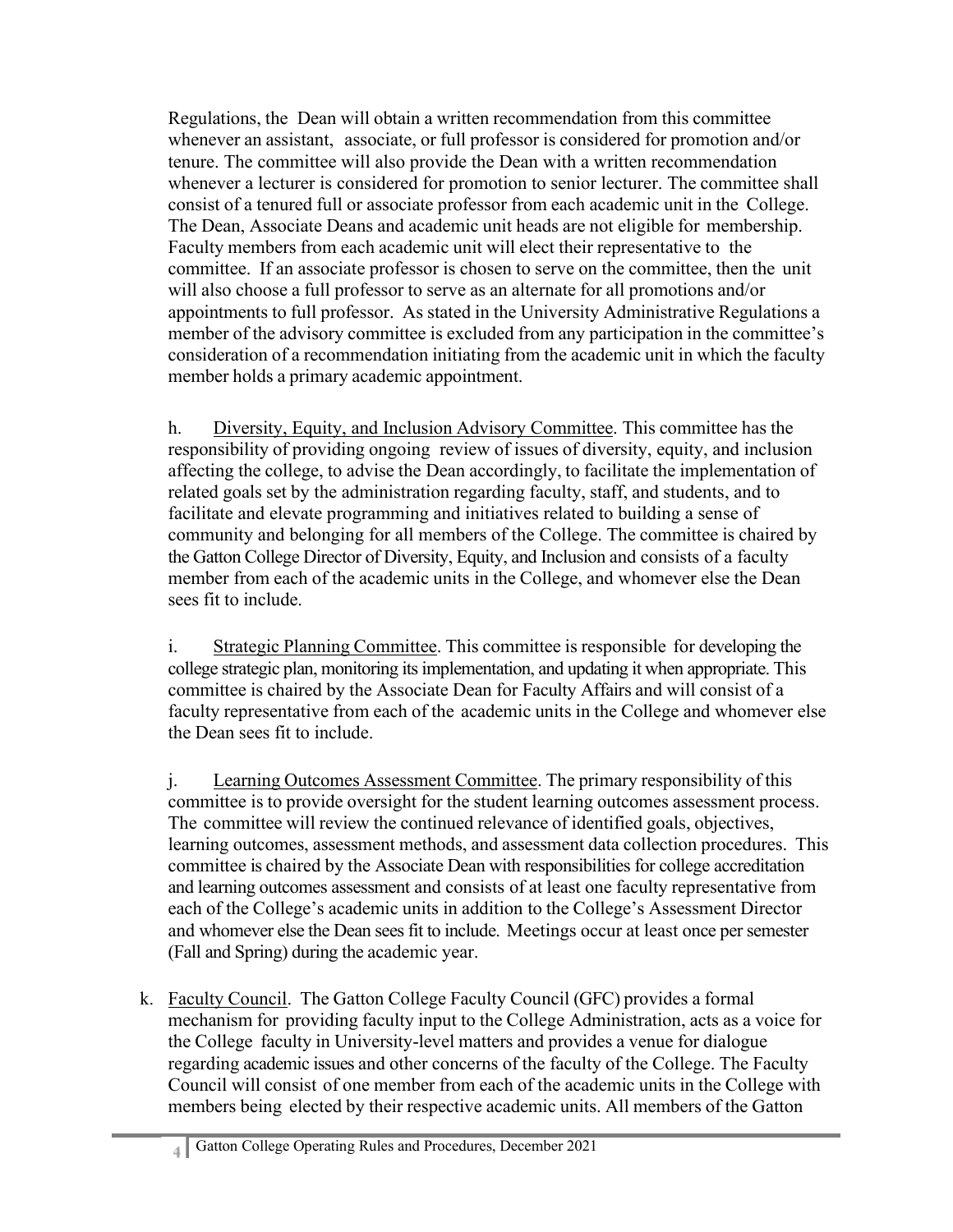Regulations, the Dean will obtain a written recommendation from this committee whenever an assistant, associate, or full professor is considered for promotion and/or tenure. The committee will also provide the Dean with a written recommendation whenever a lecturer is considered for promotion to senior lecturer. The committee shall consist of a tenured full or associate professor from each academic unit in the College. The Dean, Associate Deans and academic unit heads are not eligible for membership. Faculty members from each academic unit will elect their representative to the committee. If an associate professor is chosen to serve on the committee, then the unit will also choose a full professor to serve as an alternate for all promotions and/or appointments to full professor. As stated in the University Administrative Regulations a member of the advisory committee is excluded from any participation in the committee's consideration of a recommendation initiating from the academic unit in which the faculty member holds a primary academic appointment.

h. Diversity, Equity, and Inclusion Advisory Committee. This committee has the responsibility of providing ongoing review of issues of diversity, equity, and inclusion affecting the college, to advise the Dean accordingly, to facilitate the implementation of related goals set by the administration regarding faculty, staff, and students, and to facilitate and elevate programming and initiatives related to building a sense of community and belonging for all members of the College. The committee is chaired by the Gatton College Director of Diversity, Equity, and Inclusion and consists of a faculty member from each of the academic units in the College, and whomever else the Dean sees fit to include.

i. Strategic Planning Committee. This committee is responsible for developing the college strategic plan, monitoring its implementation, and updating it when appropriate. This committee is chaired by the Associate Dean for Faculty Affairs and will consist of a faculty representative from each of the academic units in the College and whomever else the Dean sees fit to include.

j. Learning Outcomes Assessment Committee. The primary responsibility of this committee is to provide oversight for the student learning outcomes assessment process. The committee will review the continued relevance of identified goals, objectives, learning outcomes, assessment methods, and assessment data collection procedures. This committee is chaired by the Associate Dean with responsibilities for college accreditation and learning outcomes assessment and consists of at least one faculty representative from each of the College's academic units in addition to the College's Assessment Director and whomever else the Dean sees fit to include. Meetings occur at least once per semester (Fall and Spring) during the academic year.

k. Faculty Council. The Gatton College Faculty Council (GFC) provides a formal mechanism for providing faculty input to the College Administration, acts as a voice for the College faculty in University-level matters and provides a venue for dialogue regarding academic issues and other concerns of the faculty of the College. The Faculty Council will consist of one member from each of the academic units in the College with members being elected by their respective academic units. All members of the Gatton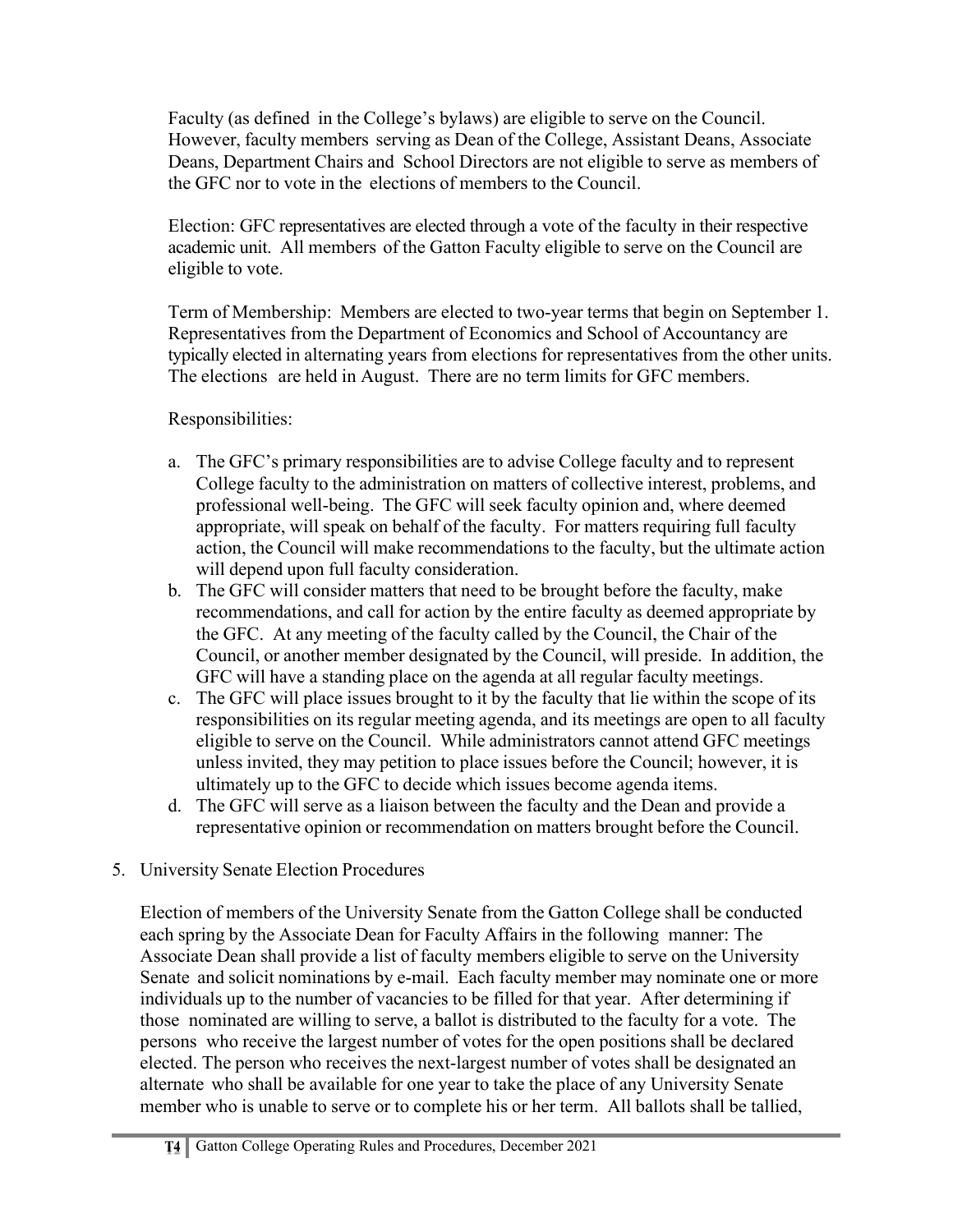Faculty (as defined in the College's bylaws) are eligible to serve on the Council. However, faculty members serving as Dean of the College, Assistant Deans, Associate Deans, Department Chairs and School Directors are not eligible to serve as members of the GFC nor to vote in the elections of members to the Council.

Election: GFC representatives are elected through a vote of the faculty in their respective academic unit. All members of the Gatton Faculty eligible to serve on the Council are eligible to vote.

Term of Membership: Members are elected to two-year terms that begin on September 1. Representatives from the Department of Economics and School of Accountancy are typically elected in alternating years from elections for representatives from the other units. The elections are held in August. There are no term limits for GFC members.

Responsibilities:

- a. The GFC's primary responsibilities are to advise College faculty and to represent College faculty to the administration on matters of collective interest, problems, and professional well-being. The GFC will seek faculty opinion and, where deemed appropriate, will speak on behalf of the faculty. For matters requiring full faculty action, the Council will make recommendations to the faculty, but the ultimate action will depend upon full faculty consideration.
- b. The GFC will consider matters that need to be brought before the faculty, make recommendations, and call for action by the entire faculty as deemed appropriate by the GFC. At any meeting of the faculty called by the Council, the Chair of the Council, or another member designated by the Council, will preside. In addition, the GFC will have a standing place on the agenda at all regular faculty meetings.
- c. The GFC will place issues brought to it by the faculty that lie within the scope of its responsibilities on its regular meeting agenda, and its meetings are open to all faculty eligible to serve on the Council. While administrators cannot attend GFC meetings unless invited, they may petition to place issues before the Council; however, it is ultimately up to the GFC to decide which issues become agenda items.
- d. The GFC will serve as a liaison between the faculty and the Dean and provide a representative opinion or recommendation on matters brought before the Council.

## 5. University Senate Election Procedures

Election of members of the University Senate from the Gatton College shall be conducted each spring by the Associate Dean for Faculty Affairs in the following manner: The Associate Dean shall provide a list of faculty members eligible to serve on the University Senate and solicit nominations by e-mail. Each faculty member may nominate one or more individuals up to the number of vacancies to be filled for that year. After determining if those nominated are willing to serve, a ballot is distributed to the faculty for a vote. The persons who receive the largest number of votes for the open positions shall be declared elected. The person who receives the next-largest number of votes shall be designated an alternate who shall be available for one year to take the place of any University Senate member who is unable to serve or to complete his or her term. All ballots shall be tallied,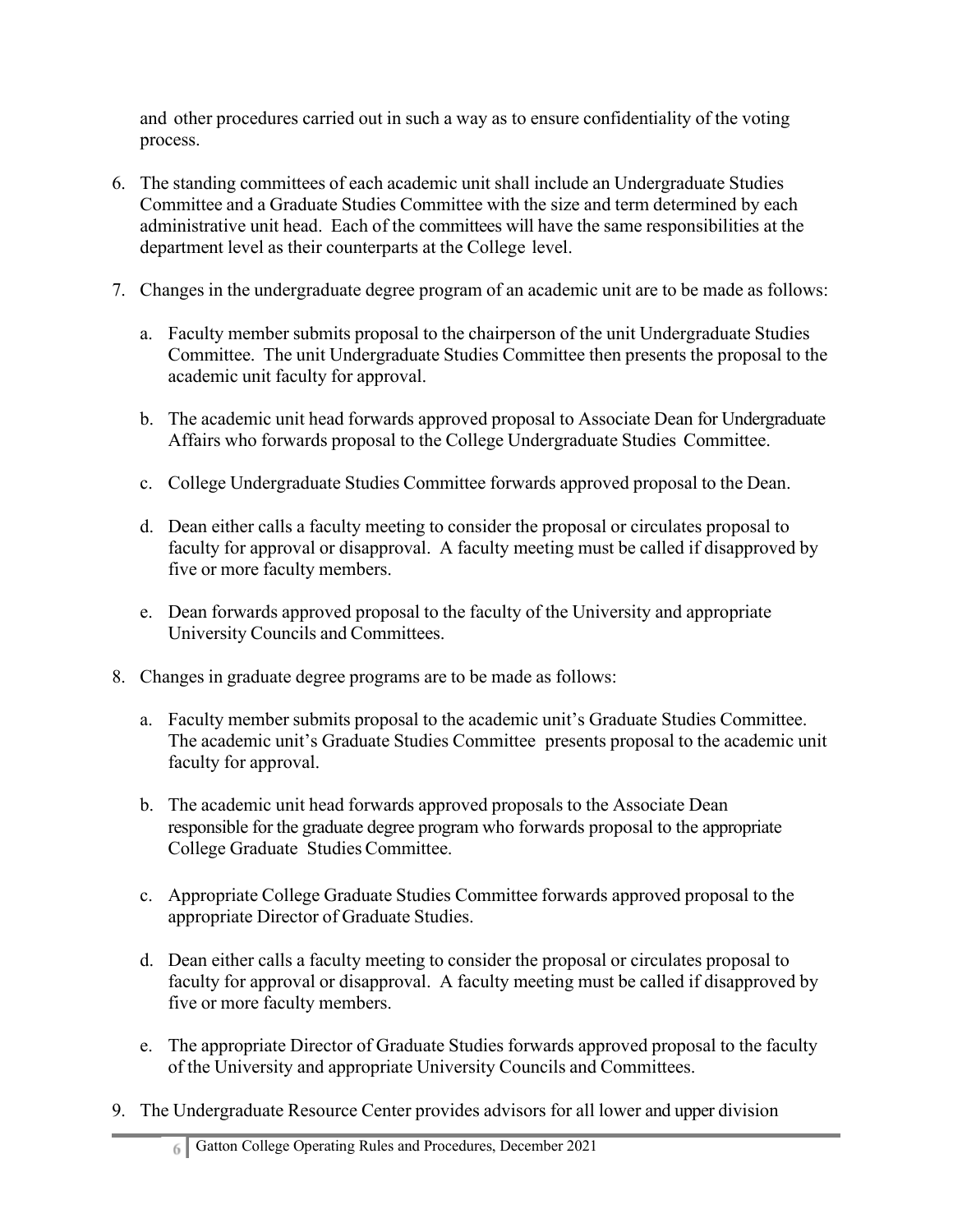and other procedures carried out in such a way as to ensure confidentiality of the voting process.

- 6. The standing committees of each academic unit shall include an Undergraduate Studies Committee and a Graduate Studies Committee with the size and term determined by each administrative unit head. Each of the committees will have the same responsibilities at the department level as their counterparts at the College level.
- 7. Changes in the undergraduate degree program of an academic unit are to be made as follows:
	- a. Faculty member submits proposal to the chairperson of the unit Undergraduate Studies Committee. The unit Undergraduate Studies Committee then presents the proposal to the academic unit faculty for approval.
	- b. The academic unit head forwards approved proposal to Associate Dean for Undergraduate Affairs who forwards proposal to the College Undergraduate Studies Committee.
	- c. College Undergraduate Studies Committee forwards approved proposal to the Dean.
	- d. Dean either calls a faculty meeting to consider the proposal or circulates proposal to faculty for approval or disapproval. A faculty meeting must be called if disapproved by five or more faculty members.
	- e. Dean forwards approved proposal to the faculty of the University and appropriate University Councils and Committees.
- 8. Changes in graduate degree programs are to be made as follows:
	- a. Faculty member submits proposal to the academic unit's Graduate Studies Committee. The academic unit's Graduate Studies Committee presents proposal to the academic unit faculty for approval.
	- b. The academic unit head forwards approved proposals to the Associate Dean responsible for the graduate degree program who forwards proposal to the appropriate College Graduate Studies Committee.
	- c. Appropriate College Graduate Studies Committee forwards approved proposal to the appropriate Director of Graduate Studies.
	- d. Dean either calls a faculty meeting to consider the proposal or circulates proposal to faculty for approval or disapproval. A faculty meeting must be called if disapproved by five or more faculty members.
	- e. The appropriate Director of Graduate Studies forwards approved proposal to the faculty of the University and appropriate University Councils and Committees.
- 9. The Undergraduate Resource Center provides advisors for all lower and upper division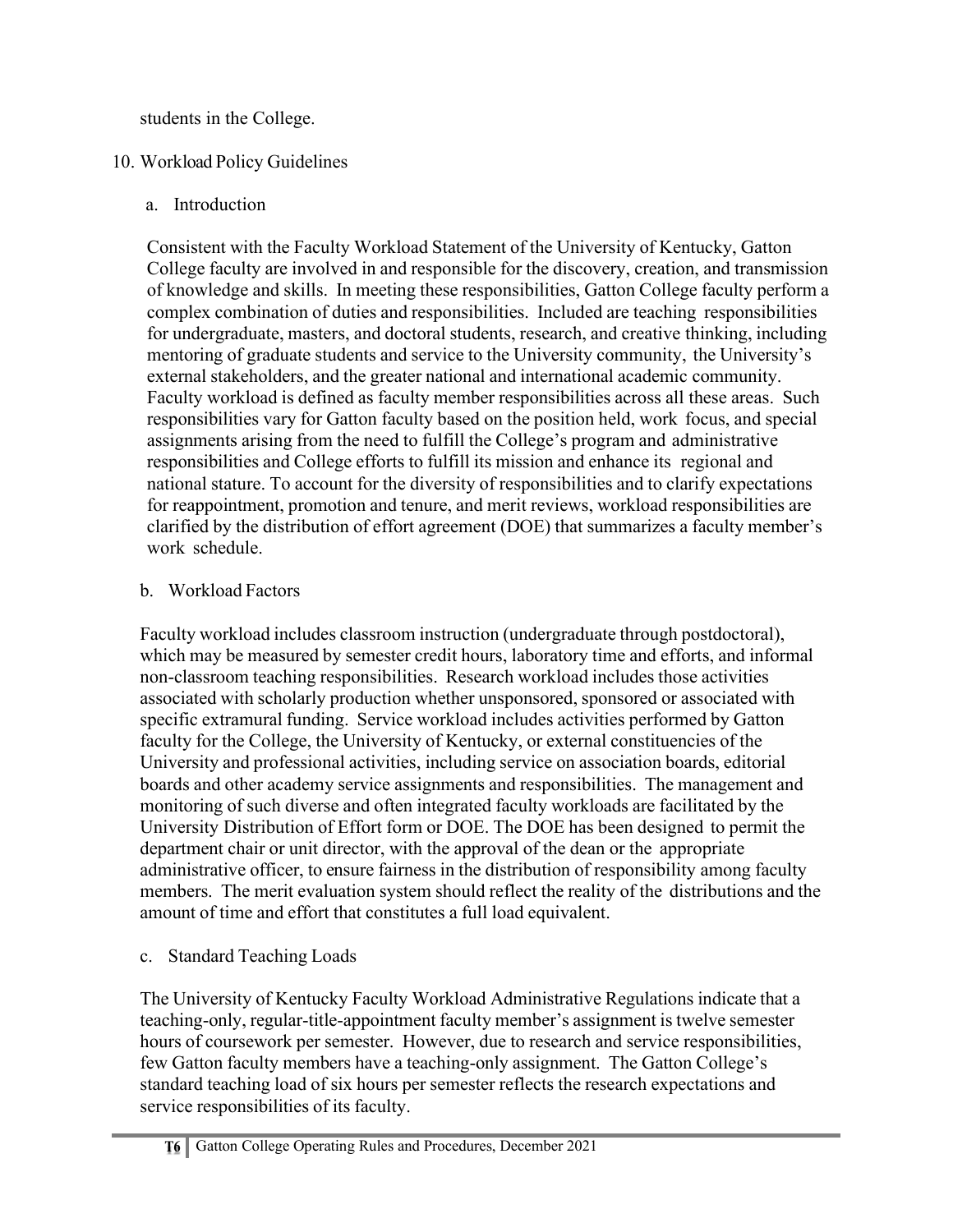students in the College.

# 10. Workload Policy Guidelines

a. Introduction

Consistent with the Faculty Workload Statement of the University of Kentucky, Gatton College faculty are involved in and responsible for the discovery, creation, and transmission of knowledge and skills. In meeting these responsibilities, Gatton College faculty perform a complex combination of duties and responsibilities. Included are teaching responsibilities for undergraduate, masters, and doctoral students, research, and creative thinking, including mentoring of graduate students and service to the University community, the University's external stakeholders, and the greater national and international academic community. Faculty workload is defined as faculty member responsibilities across all these areas. Such responsibilities vary for Gatton faculty based on the position held, work focus, and special assignments arising from the need to fulfill the College's program and administrative responsibilities and College efforts to fulfill its mission and enhance its regional and national stature. To account for the diversity of responsibilities and to clarify expectations for reappointment, promotion and tenure, and merit reviews, workload responsibilities are clarified by the distribution of effort agreement (DOE) that summarizes a faculty member's work schedule.

# b. Workload Factors

Faculty workload includes classroom instruction (undergraduate through postdoctoral), which may be measured by semester credit hours, laboratory time and efforts, and informal non-classroom teaching responsibilities. Research workload includes those activities associated with scholarly production whether unsponsored, sponsored or associated with specific extramural funding. Service workload includes activities performed by Gatton faculty for the College, the University of Kentucky, or external constituencies of the University and professional activities, including service on association boards, editorial boards and other academy service assignments and responsibilities. The management and monitoring of such diverse and often integrated faculty workloads are facilitated by the University Distribution of Effort form or DOE. The DOE has been designed to permit the department chair or unit director, with the approval of the dean or the appropriate administrative officer, to ensure fairness in the distribution of responsibility among faculty members. The merit evaluation system should reflect the reality of the distributions and the amount of time and effort that constitutes a full load equivalent.

c. Standard Teaching Loads

The University of Kentucky Faculty Workload Administrative Regulations indicate that a teaching-only, regular-title-appointment faculty member's assignment is twelve semester hours of coursework per semester. However, due to research and service responsibilities, few Gatton faculty members have a teaching-only assignment. The Gatton College's standard teaching load of six hours per semester reflects the research expectations and service responsibilities of its faculty.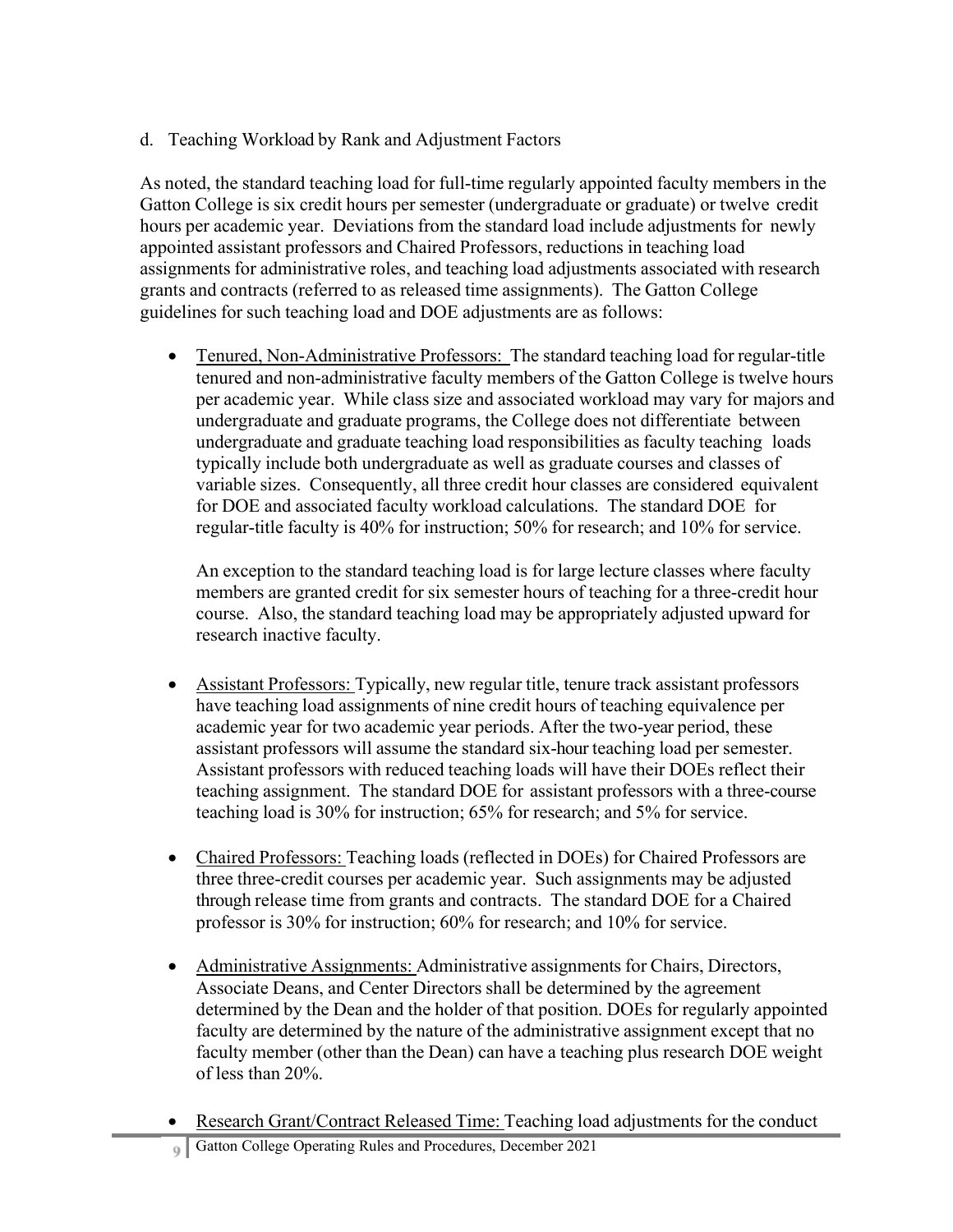d. Teaching Workload by Rank and Adjustment Factors

As noted, the standard teaching load for full-time regularly appointed faculty members in the Gatton College is six credit hours per semester (undergraduate or graduate) or twelve credit hours per academic year. Deviations from the standard load include adjustments for newly appointed assistant professors and Chaired Professors, reductions in teaching load assignments for administrative roles, and teaching load adjustments associated with research grants and contracts (referred to as released time assignments). The Gatton College guidelines for such teaching load and DOE adjustments are as follows:

• Tenured, Non-Administrative Professors: The standard teaching load for regular-title tenured and non-administrative faculty members of the Gatton College is twelve hours per academic year. While class size and associated workload may vary for majors and undergraduate and graduate programs, the College does not differentiate between undergraduate and graduate teaching load responsibilities as faculty teaching loads typically include both undergraduate as well as graduate courses and classes of variable sizes. Consequently, all three credit hour classes are considered equivalent for DOE and associated faculty workload calculations. The standard DOE for regular-title faculty is 40% for instruction; 50% for research; and 10% for service.

An exception to the standard teaching load is for large lecture classes where faculty members are granted credit for six semester hours of teaching for a three-credit hour course. Also, the standard teaching load may be appropriately adjusted upward for research inactive faculty.

- Assistant Professors: Typically, new regular title, tenure track assistant professors have teaching load assignments of nine credit hours of teaching equivalence per academic year for two academic year periods. After the two-year period, these assistant professors will assume the standard six-hour teaching load per semester. Assistant professors with reduced teaching loads will have their DOEs reflect their teaching assignment. The standard DOE for assistant professors with a three-course teaching load is 30% for instruction; 65% for research; and 5% for service.
- Chaired Professors: Teaching loads (reflected in DOEs) for Chaired Professors are three three-credit courses per academic year. Such assignments may be adjusted through release time from grants and contracts. The standard DOE for a Chaired professor is 30% for instruction; 60% for research; and 10% for service.
- Administrative Assignments: Administrative assignments for Chairs, Directors, Associate Deans, and Center Directors shall be determined by the agreement determined by the Dean and the holder of that position. DOEs for regularly appointed faculty are determined by the nature of the administrative assignment except that no faculty member (other than the Dean) can have a teaching plus research DOE weight of less than 20%.
- Research Grant/Contract Released Time: Teaching load adjustments for the conduct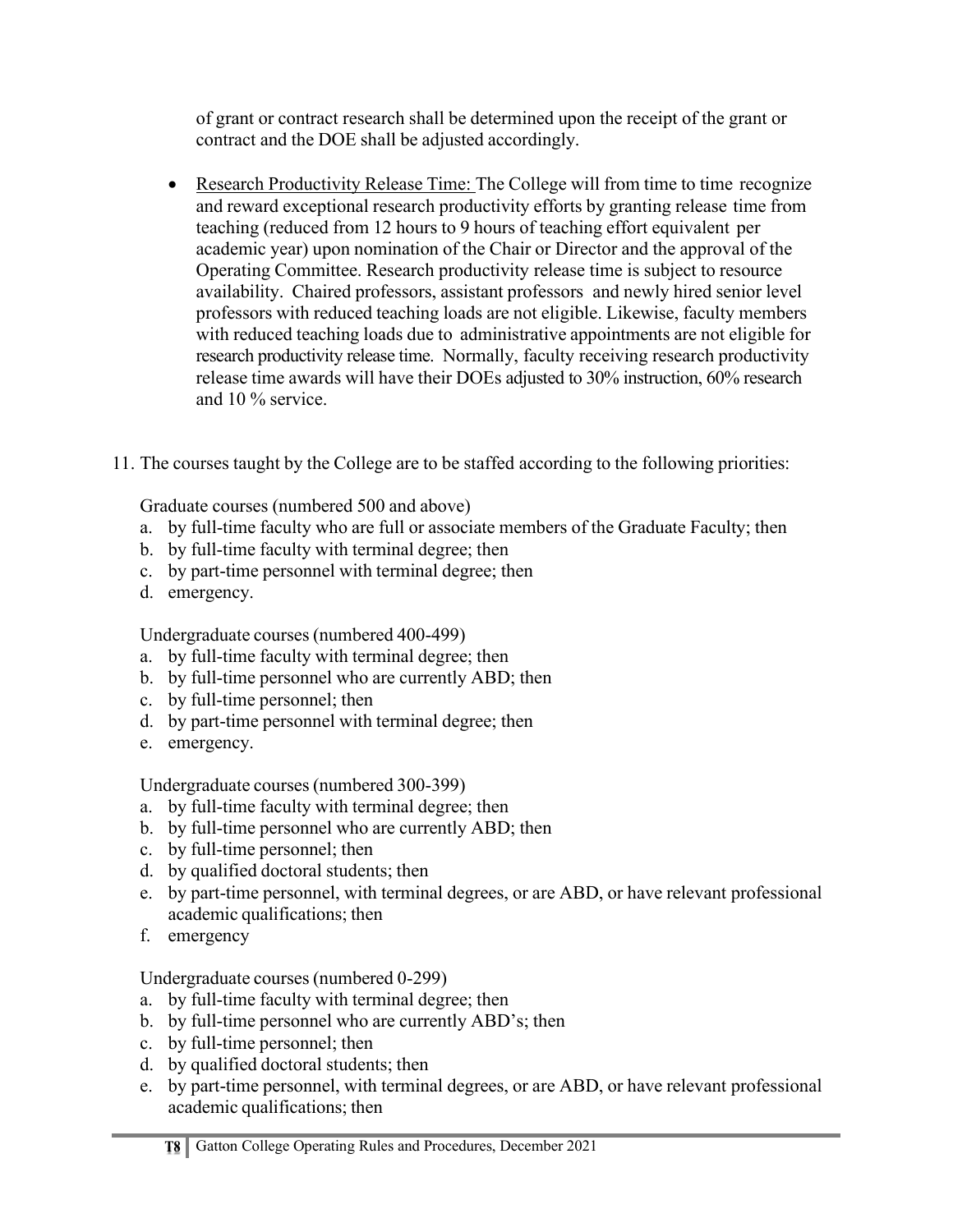of grant or contract research shall be determined upon the receipt of the grant or contract and the DOE shall be adjusted accordingly.

- Research Productivity Release Time: The College will from time to time recognize and reward exceptional research productivity efforts by granting release time from teaching (reduced from 12 hours to 9 hours of teaching effort equivalent per academic year) upon nomination of the Chair or Director and the approval of the Operating Committee. Research productivity release time is subject to resource availability. Chaired professors, assistant professors and newly hired senior level professors with reduced teaching loads are not eligible. Likewise, faculty members with reduced teaching loads due to administrative appointments are not eligible for research productivity release time. Normally, faculty receiving research productivity release time awards will have their DOEs adjusted to 30% instruction, 60% research and 10 % service.
- 11. The courses taught by the College are to be staffed according to the following priorities:

Graduate courses (numbered 500 and above)

- a. by full-time faculty who are full or associate members of the Graduate Faculty; then
- b. by full-time faculty with terminal degree; then
- c. by part-time personnel with terminal degree; then
- d. emergency.

Undergraduate courses(numbered 400-499)

- a. by full-time faculty with terminal degree; then
- b. by full-time personnel who are currently ABD; then
- c. by full-time personnel; then
- d. by part-time personnel with terminal degree; then
- e. emergency.

Undergraduate courses(numbered 300-399)

- a. by full-time faculty with terminal degree; then
- b. by full-time personnel who are currently ABD; then
- c. by full-time personnel; then
- d. by qualified doctoral students; then
- e. by part-time personnel, with terminal degrees, or are ABD, or have relevant professional academic qualifications; then
- f. emergency

Undergraduate courses (numbered 0-299)

- a. by full-time faculty with terminal degree; then
- b. by full-time personnel who are currently ABD's; then
- c. by full-time personnel; then
- d. by qualified doctoral students; then
- e. by part-time personnel, with terminal degrees, or are ABD, or have relevant professional academic qualifications; then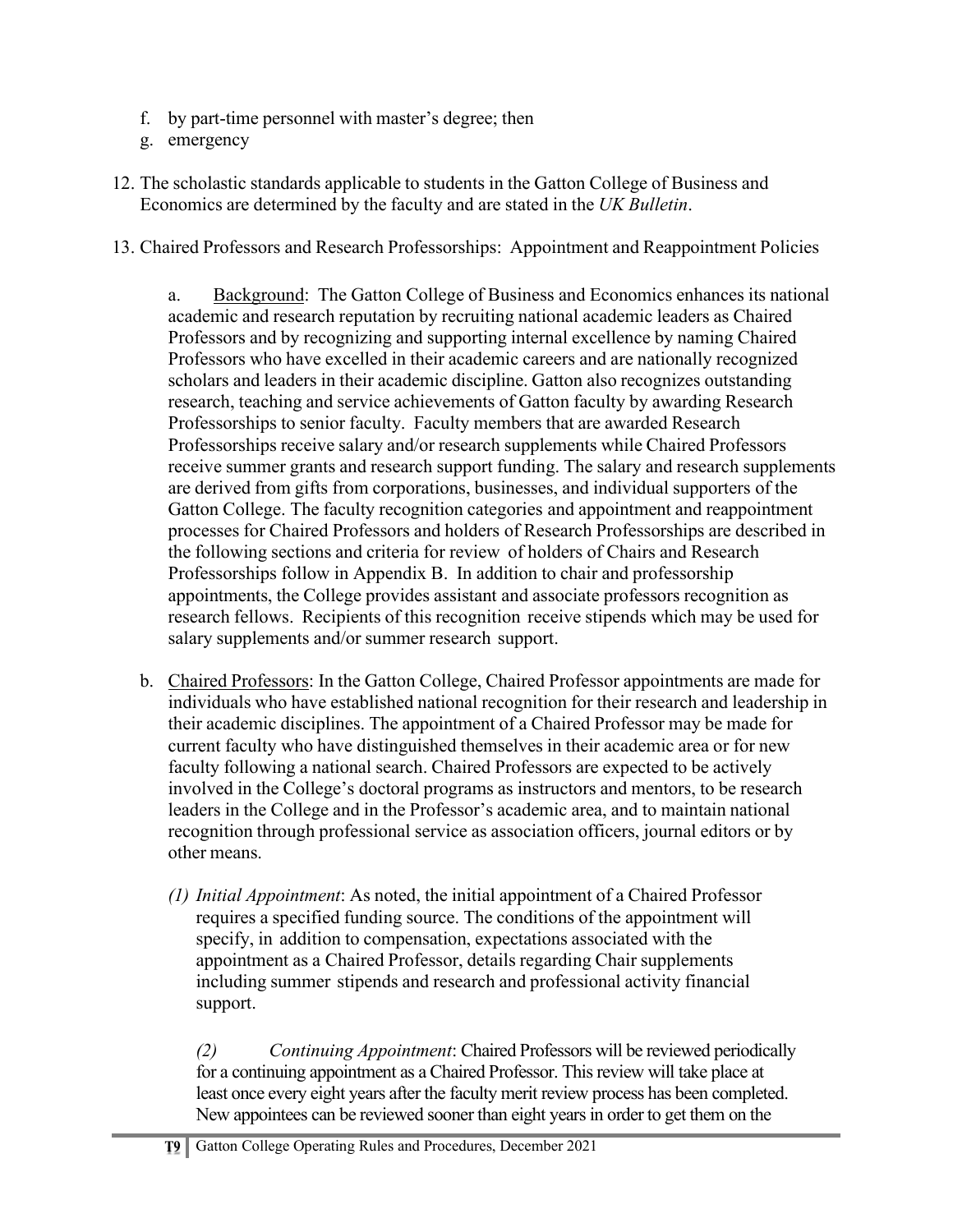- f. by part-time personnel with master's degree; then
- g. emergency
- 12. The scholastic standards applicable to students in the Gatton College of Business and Economics are determined by the faculty and are stated in the *UK Bulletin*.
- 13. Chaired Professors and Research Professorships: Appointment and Reappointment Policies

a. Background: The Gatton College of Business and Economics enhances its national academic and research reputation by recruiting national academic leaders as Chaired Professors and by recognizing and supporting internal excellence by naming Chaired Professors who have excelled in their academic careers and are nationally recognized scholars and leaders in their academic discipline. Gatton also recognizes outstanding research, teaching and service achievements of Gatton faculty by awarding Research Professorships to senior faculty. Faculty members that are awarded Research Professorships receive salary and/or research supplements while Chaired Professors receive summer grants and research support funding. The salary and research supplements are derived from gifts from corporations, businesses, and individual supporters of the Gatton College. The faculty recognition categories and appointment and reappointment processes for Chaired Professors and holders of Research Professorships are described in the following sections and criteria for review of holders of Chairs and Research Professorships follow in Appendix B. In addition to chair and professorship appointments, the College provides assistant and associate professors recognition as research fellows. Recipients of this recognition receive stipends which may be used for salary supplements and/or summer research support.

- b. Chaired Professors: In the Gatton College, Chaired Professor appointments are made for individuals who have established national recognition for their research and leadership in their academic disciplines. The appointment of a Chaired Professor may be made for current faculty who have distinguished themselves in their academic area or for new faculty following a national search. Chaired Professors are expected to be actively involved in the College's doctoral programs as instructors and mentors, to be research leaders in the College and in the Professor's academic area, and to maintain national recognition through professional service as association officers, journal editors or by other means.
	- *(1) Initial Appointment*: As noted, the initial appointment of a Chaired Professor requires a specified funding source. The conditions of the appointment will specify, in addition to compensation, expectations associated with the appointment as a Chaired Professor, details regarding Chair supplements including summer stipends and research and professional activity financial support.

*(2) Continuing Appointment*: Chaired Professors will be reviewed periodically for a continuing appointment as a Chaired Professor. This review will take place at least once every eight years after the faculty merit review process has been completed. New appointees can be reviewed sooner than eight years in order to get them on the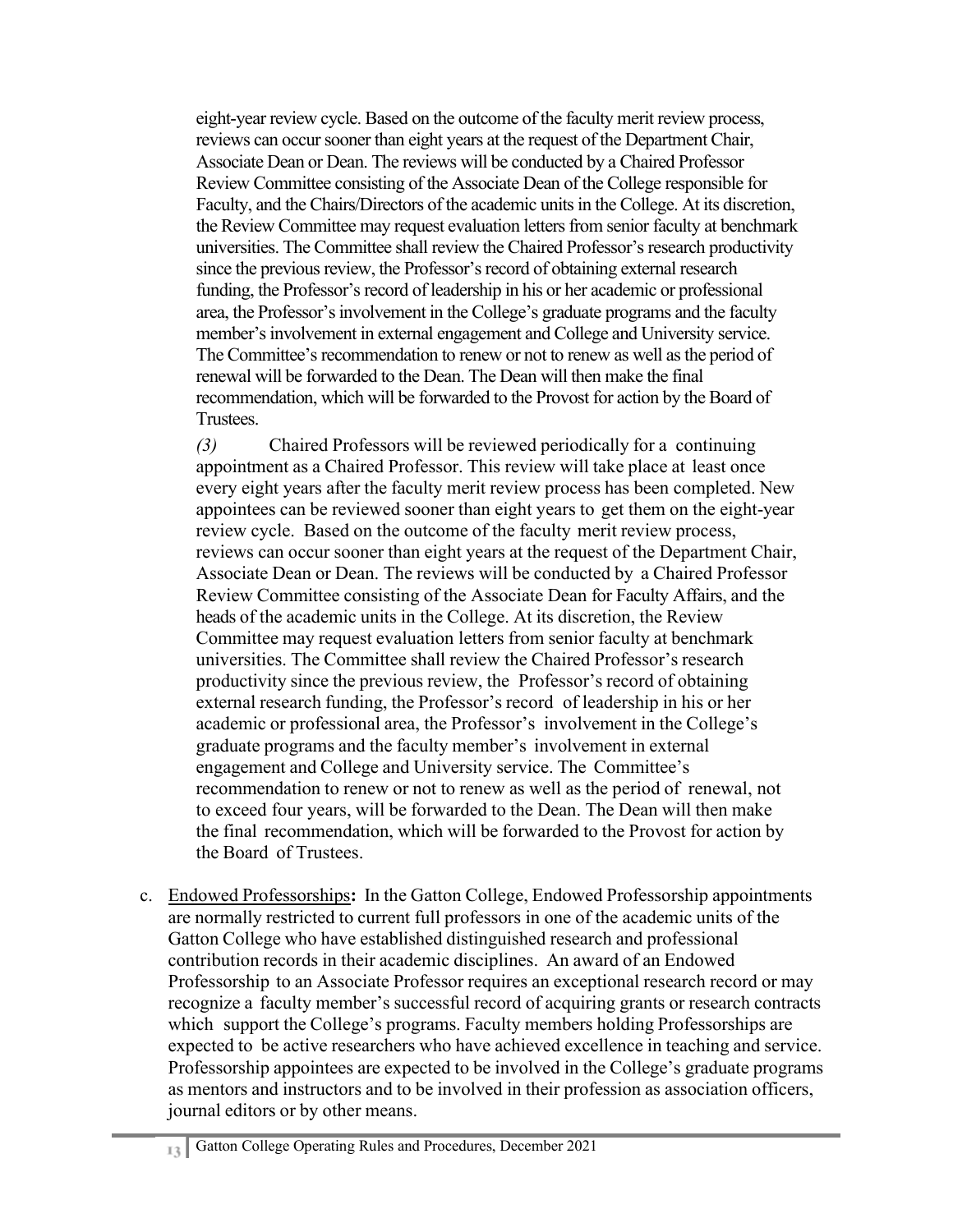eight-year review cycle. Based on the outcome of the faculty merit review process, reviews can occur sooner than eight years at the request of the Department Chair, Associate Dean or Dean. The reviews will be conducted by a Chaired Professor Review Committee consisting of the Associate Dean of the College responsible for Faculty, and the Chairs/Directors of the academic units in the College. At its discretion, the Review Committee may request evaluation letters from senior faculty at benchmark universities. The Committee shall review the Chaired Professor's research productivity since the previous review, the Professor's record of obtaining external research funding, the Professor's record of leadership in his or her academic or professional area, the Professor's involvement in the College's graduate programs and the faculty member's involvement in external engagement and College and University service. The Committee's recommendation to renew or not to renew as well as the period of renewal will be forwarded to the Dean. The Dean will then make the final recommendation, which will be forwarded to the Provost for action by the Board of Trustees.

*(3)* Chaired Professors will be reviewed periodically for a continuing appointment as a Chaired Professor. This review will take place at least once every eight years after the faculty merit review process has been completed. New appointees can be reviewed sooner than eight years to get them on the eight-year review cycle. Based on the outcome of the faculty merit review process, reviews can occur sooner than eight years at the request of the Department Chair, Associate Dean or Dean. The reviews will be conducted by a Chaired Professor Review Committee consisting of the Associate Dean for Faculty Affairs, and the heads of the academic units in the College. At its discretion, the Review Committee may request evaluation letters from senior faculty at benchmark universities. The Committee shall review the Chaired Professor's research productivity since the previous review, the Professor's record of obtaining external research funding, the Professor's record of leadership in his or her academic or professional area, the Professor's involvement in the College's graduate programs and the faculty member's involvement in external engagement and College and University service. The Committee's recommendation to renew or not to renew as well as the period of renewal, not to exceed four years, will be forwarded to the Dean. The Dean will then make the final recommendation, which will be forwarded to the Provost for action by the Board of Trustees.

c. Endowed Professorships**:** In the Gatton College, Endowed Professorship appointments are normally restricted to current full professors in one of the academic units of the Gatton College who have established distinguished research and professional contribution records in their academic disciplines. An award of an Endowed Professorship to an Associate Professor requires an exceptional research record or may recognize a faculty member's successful record of acquiring grants or research contracts which support the College's programs. Faculty members holding Professorships are expected to be active researchers who have achieved excellence in teaching and service. Professorship appointees are expected to be involved in the College's graduate programs as mentors and instructors and to be involved in their profession as association officers, journal editors or by other means.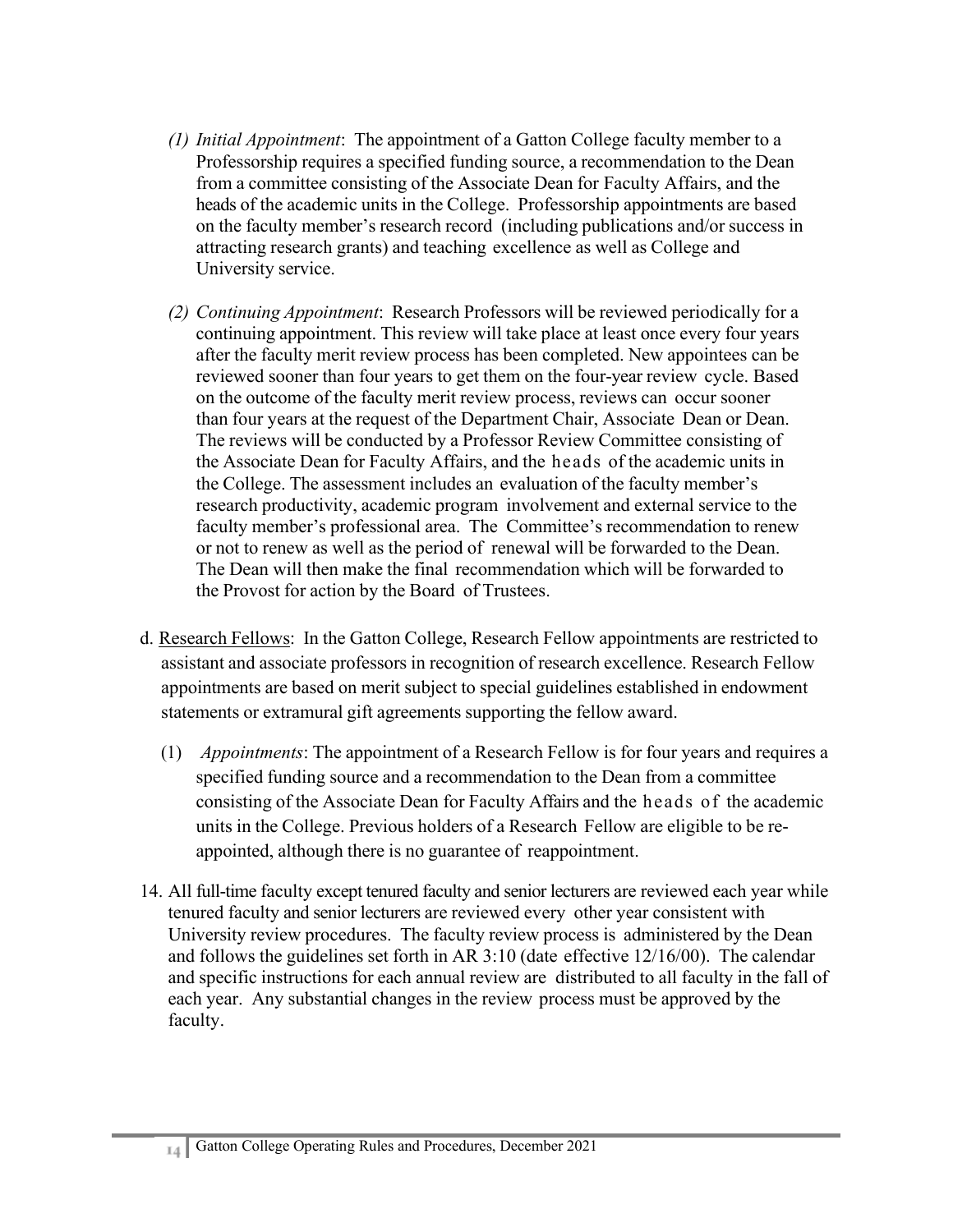- *(1) Initial Appointment*: The appointment of a Gatton College faculty member to a Professorship requires a specified funding source, a recommendation to the Dean from a committee consisting of the Associate Dean for Faculty Affairs, and the heads of the academic units in the College. Professorship appointments are based on the faculty member's research record (including publications and/or success in attracting research grants) and teaching excellence as well as College and University service.
- *(2) Continuing Appointment*: Research Professors will be reviewed periodically for a continuing appointment. This review will take place at least once every four years after the faculty merit review process has been completed. New appointees can be reviewed sooner than four years to get them on the four-year review cycle. Based on the outcome of the faculty merit review process, reviews can occur sooner than four years at the request of the Department Chair, Associate Dean or Dean. The reviews will be conducted by a Professor Review Committee consisting of the Associate Dean for Faculty Affairs, and the heads of the academic units in the College. The assessment includes an evaluation of the faculty member's research productivity, academic program involvement and external service to the faculty member's professional area. The Committee's recommendation to renew or not to renew as well as the period of renewal will be forwarded to the Dean. The Dean will then make the final recommendation which will be forwarded to the Provost for action by the Board of Trustees.
- d. Research Fellows: In the Gatton College, Research Fellow appointments are restricted to assistant and associate professors in recognition of research excellence. Research Fellow appointments are based on merit subject to special guidelines established in endowment statements or extramural gift agreements supporting the fellow award.
	- (1) *Appointments*: The appointment of a Research Fellow is for four years and requires a specified funding source and a recommendation to the Dean from a committee consisting of the Associate Dean for Faculty Affairs and the heads of the academic units in the College. Previous holders of a Research Fellow are eligible to be reappointed, although there is no guarantee of reappointment.
- 14. All full-time faculty except tenured faculty and senior lecturers are reviewed each year while tenured faculty and senior lecturers are reviewed every other year consistent with University review procedures. The faculty review process is administered by the Dean and follows the guidelines set forth in AR 3:10 (date effective 12/16/00). The calendar and specific instructions for each annual review are distributed to all faculty in the fall of each year. Any substantial changes in the review process must be approved by the faculty.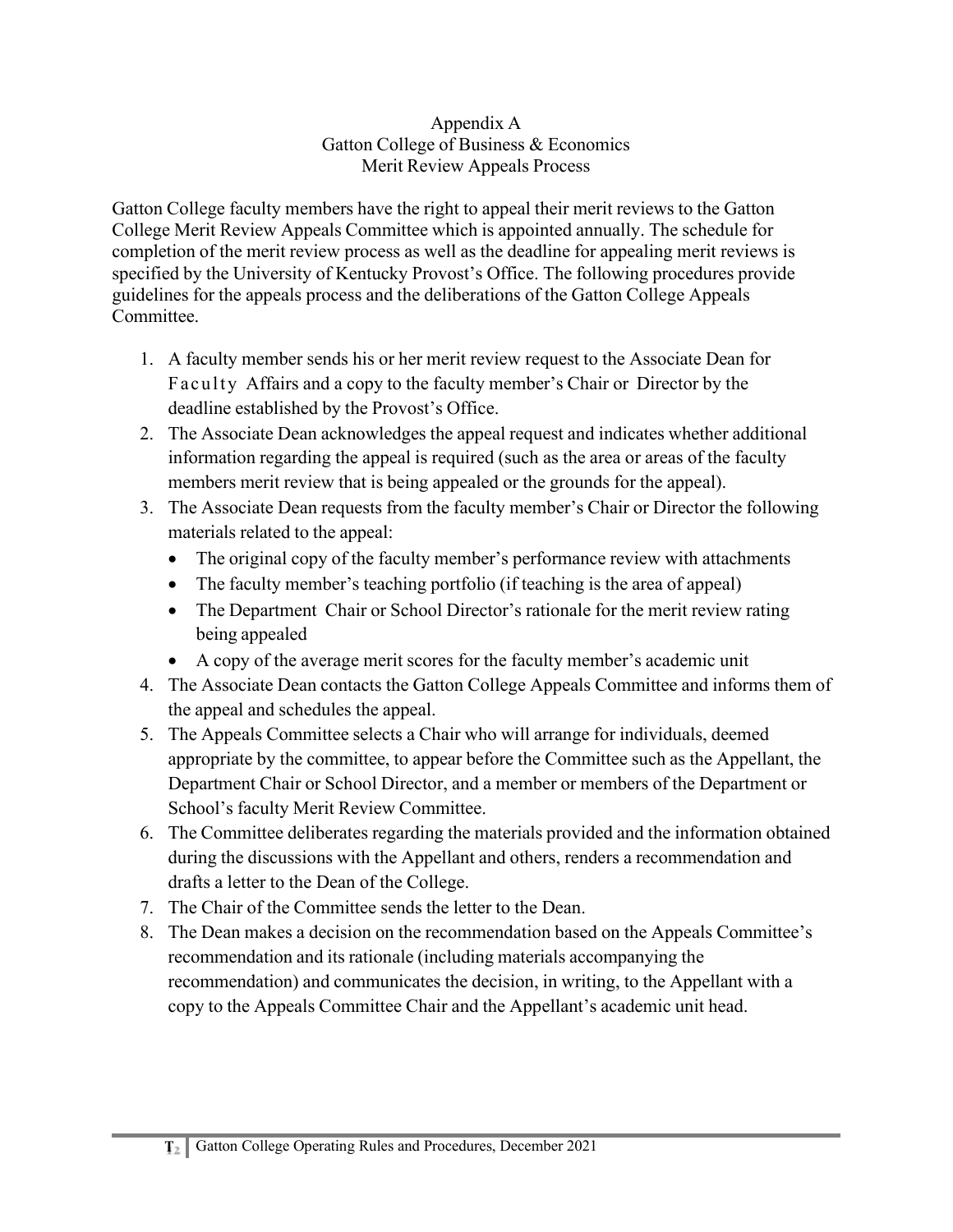#### Appendix A Gatton College of Business & Economics Merit Review Appeals Process

Gatton College faculty members have the right to appeal their merit reviews to the Gatton College Merit Review Appeals Committee which is appointed annually. The schedule for completion of the merit review process as well as the deadline for appealing merit reviews is specified by the University of Kentucky Provost's Office. The following procedures provide guidelines for the appeals process and the deliberations of the Gatton College Appeals Committee.

- 1. A faculty member sends his or her merit review request to the Associate Dean for Faculty Affairs and a copy to the faculty member's Chair or Director by the deadline established by the Provost's Office.
- 2. The Associate Dean acknowledges the appeal request and indicates whether additional information regarding the appeal is required (such as the area or areas of the faculty members merit review that is being appealed or the grounds for the appeal).
- 3. The Associate Dean requests from the faculty member's Chair or Director the following materials related to the appeal:
	- The original copy of the faculty member's performance review with attachments
	- The faculty member's teaching portfolio (if teaching is the area of appeal)
	- The Department Chair or School Director's rationale for the merit review rating being appealed
	- A copy of the average merit scores for the faculty member's academic unit
- 4. The Associate Dean contacts the Gatton College Appeals Committee and informs them of the appeal and schedules the appeal.
- 5. The Appeals Committee selects a Chair who will arrange for individuals, deemed appropriate by the committee, to appear before the Committee such as the Appellant, the Department Chair or School Director, and a member or members of the Department or School's faculty Merit Review Committee.
- 6. The Committee deliberates regarding the materials provided and the information obtained during the discussions with the Appellant and others, renders a recommendation and drafts a letter to the Dean of the College.
- 7. The Chair of the Committee sends the letter to the Dean.
- 8. The Dean makes a decision on the recommendation based on the Appeals Committee's recommendation and its rationale (including materials accompanying the recommendation) and communicates the decision, in writing, to the Appellant with a copy to the Appeals Committee Chair and the Appellant's academic unit head.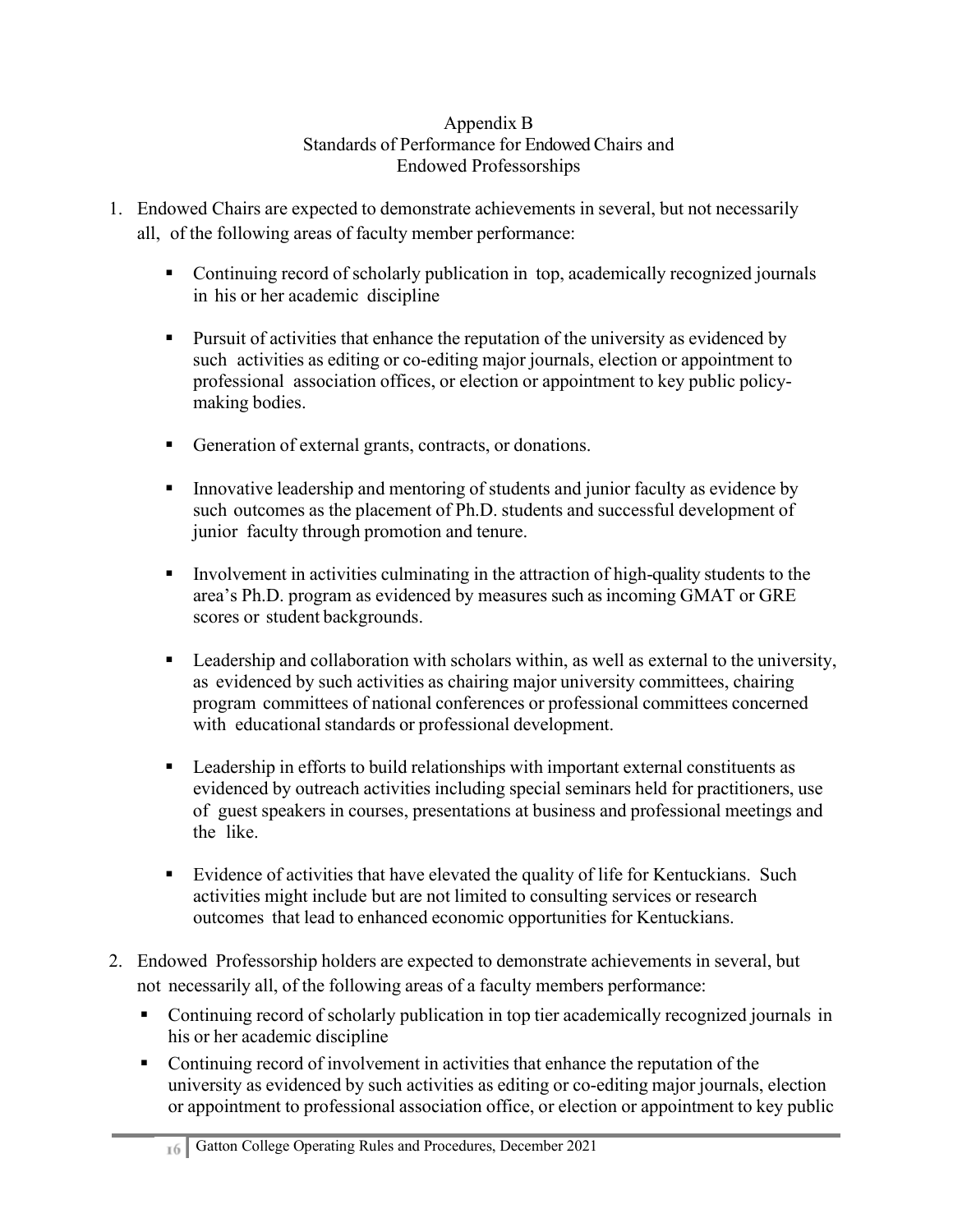### Appendix B Standards of Performance for Endowed Chairs and Endowed Professorships

- 1. Endowed Chairs are expected to demonstrate achievements in several, but not necessarily all, of the following areas of faculty member performance:
	- Continuing record of scholarly publication in top, academically recognized journals in his or her academic discipline
	- Pursuit of activities that enhance the reputation of the university as evidenced by such activities as editing or co-editing major journals, election or appointment to professional association offices, or election or appointment to key public policymaking bodies.
	- Generation of external grants, contracts, or donations.
	- Innovative leadership and mentoring of students and junior faculty as evidence by such outcomes as the placement of Ph.D. students and successful development of junior faculty through promotion and tenure.
	- Involvement in activities culminating in the attraction of high-quality students to the area's Ph.D. program as evidenced by measures such as incoming GMAT or GRE scores or student backgrounds.
	- **Example 1** Leadership and collaboration with scholars within, as well as external to the university, as evidenced by such activities as chairing major university committees, chairing program committees of national conferences or professional committees concerned with educational standards or professional development.
	- Leadership in efforts to build relationships with important external constituents as evidenced by outreach activities including special seminars held for practitioners, use of guest speakers in courses, presentations at business and professional meetings and the like.
	- Evidence of activities that have elevated the quality of life for Kentuckians. Such activities might include but are not limited to consulting services or research outcomes that lead to enhanced economic opportunities for Kentuckians.
- 2. Endowed Professorship holders are expected to demonstrate achievements in several, but not necessarily all, of the following areas of a faculty members performance:
	- Continuing record of scholarly publication in top tier academically recognized journals in his or her academic discipline
	- Continuing record of involvement in activities that enhance the reputation of the university as evidenced by such activities as editing or co-editing major journals, election or appointment to professional association office, or election or appointment to key public